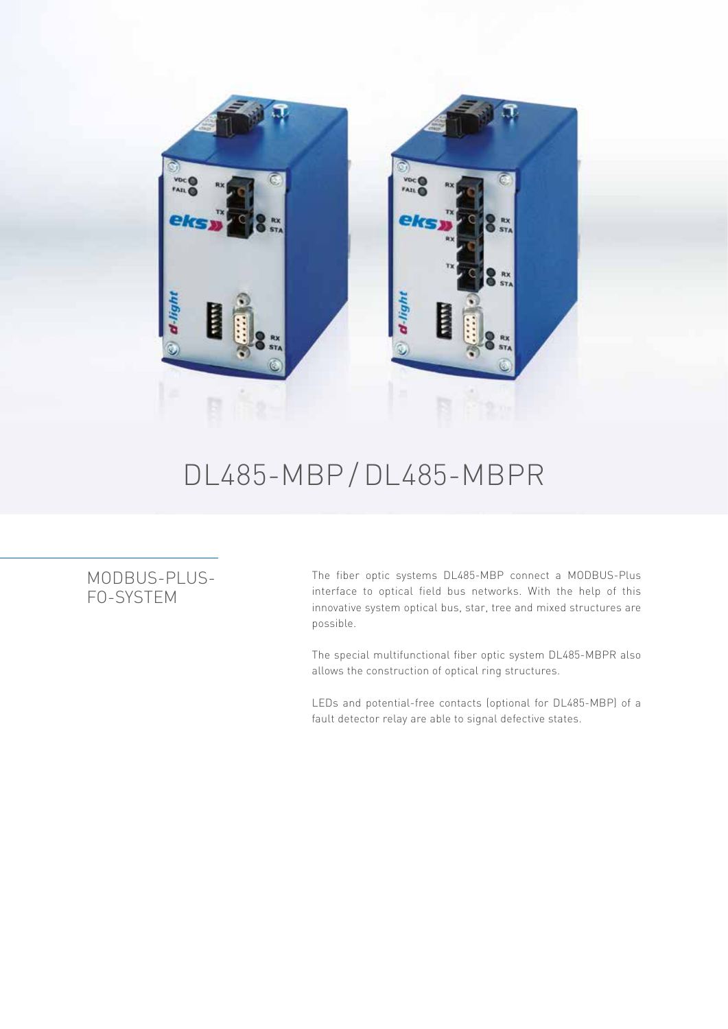

## DL485-MBP /DL485-MBPR

## MODBUS-PLUS-FO-SYSTEM

The fiber optic systems DL485-MBP connect a MODBUS-Plus interface to optical field bus networks. With the help of this innovative system optical bus, star, tree and mixed structures are possible.

The special multifunctional fiber optic system DL485-MBPR also allows the construction of optical ring structures.

LEDs and potential-free contacts (optional for DL485-MBP) of a fault detector relay are able to signal defective states.